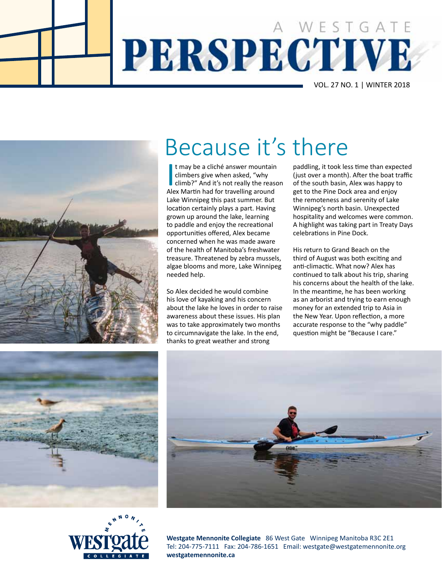





t may be a cliché answer mountain<br>climbers give when asked, "why<br>climb?" And it's not really the reas<br>Alex Martin had for travelling around t may be a cliché answer mountain climbers give when asked, "why climb?" And it's not really the reason Lake Winnipeg this past summer. But location certainly plays a part. Having grown up around the lake, learning to paddle and enjoy the recreational opportunities offered, Alex became concerned when he was made aware of the health of Manitoba's freshwater treasure. Threatened by zebra mussels, algae blooms and more, Lake Winnipeg needed help.

So Alex decided he would combine his love of kayaking and his concern about the lake he loves in order to raise awareness about these issues. His plan was to take approximately two months to circumnavigate the lake. In the end, thanks to great weather and strong

paddling, it took less time than expected (just over a month). After the boat traffic of the south basin, Alex was happy to get to the Pine Dock area and enjoy the remoteness and serenity of Lake Winnipeg's north basin. Unexpected hospitality and welcomes were common. A highlight was taking part in Treaty Days celebrations in Pine Dock.

His return to Grand Beach on the third of August was both exciting and anti-climactic. What now? Alex has continued to talk about his trip, sharing his concerns about the health of the lake. In the meantime, he has been working as an arborist and trying to earn enough money for an extended trip to Asia in the New Year. Upon reflection, a more accurate response to the "why paddle" question might be "Because I care."





**Westgate Mennonite Collegiate** 86 West Gate Winnipeg Manitoba R3C 2E1 Tel: 204-775-7111 Fax: 204-786-1651 Email: westgate@westgatemennonite.org **westgatemennonite.ca**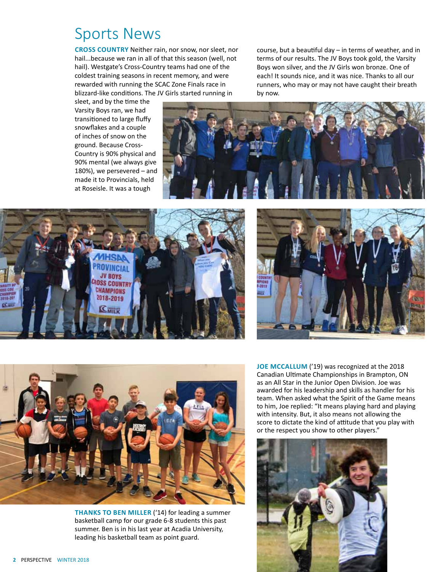#### Sports News

**Cross Country** Neither rain, nor snow, nor sleet, nor hail...because we ran in all of that this season (well, not hail). Westgate's Cross-Country teams had one of the coldest training seasons in recent memory, and were rewarded with running the SCAC Zone Finals race in blizzard-like conditions. The JV Girls started running in

sleet, and by the time the Varsity Boys ran, we had transitioned to large fluffy snowflakes and a couple of inches of snow on the ground. Because Cross-Country is 90% physical and 90% mental (we always give 180%), we persevered – and made it to Provincials, held at Roseisle. It was a tough



by now.





course, but a beautiful day – in terms of weather, and in terms of our results. The JV Boys took gold, the Varsity Boys won silver, and the JV Girls won bronze. One of each! It sounds nice, and it was nice. Thanks to all our runners, who may or may not have caught their breath



**THANKS TO BEN MILLER** ('14) for leading a summer basketball camp for our grade 6-8 students this past summer. Ben is in his last year at Acadia University, leading his basketball team as point guard.

**JOE MCCALLUM** ('19) was recognized at the 2018 Canadian Ultimate Championships in Brampton, ON as an All Star in the Junior Open Division. Joe was awarded for his leadership and skills as handler for his team. When asked what the Spirit of the Game means to him, Joe replied: "It means playing hard and playing with intensity. But, it also means not allowing the score to dictate the kind of attitude that you play with or the respect you show to other players."

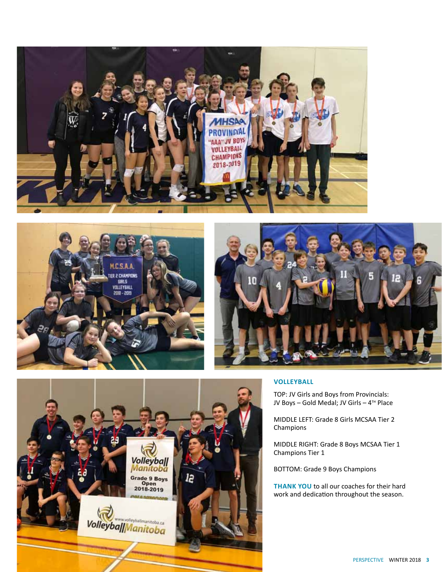







TOP: JV Girls and Boys from Provincials: JV Boys - Gold Medal; JV Girls - 4<sup>TH</sup> Place

MIDDLE LEFT: Grade 8 Girls MCSAA Tier 2 Champions

MIDDLE RIGHT: Grade 8 Boys MCSAA Tier 1 Champions Tier 1

BOTTOM: Grade 9 Boys Champions

**THANK YOU** to all our coaches for their hard work and dedication throughout the season.



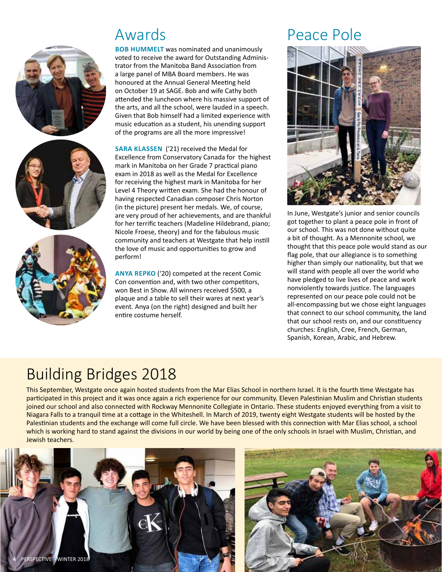





**BOB HUMMELT** was nominated and unanimously voted to receive the award for Outstanding Administrator from the Manitoba Band Association from a large panel of MBA Board members. He was honoured at the Annual General Meeting held on October 19 at SAGE. Bob and wife Cathy both attended the luncheon where his massive support of the arts, and all the school, were lauded in a speech. Given that Bob himself had a limited experience with music education as a student, his unending support of the programs are all the more impressive!

**sara klassen** ('21) received the Medal for Excellence from Conservatory Canada for the highest mark in Manitoba on her Grade 7 practical piano exam in 2018 as well as the Medal for Excellence for receiving the highest mark in Manitoba for her Level 4 Theory written exam. She had the honour of having respected Canadian composer Chris Norton (in the picture) present her medals. We, of course, are very proud of her achievements, and are thankful for her terrific teachers (Madeline Hildebrand, piano; Nicole Froese, theory) and for the fabulous music community and teachers at Westgate that help instill the love of music and opportunities to grow and perform!

**anya repko** ('20) competed at the recent Comic Con convention and, with two other competitors, won Best in Show. All winners received \$500, a plaque and a table to sell their wares at next year's event. Anya (on the right) designed and built her entire costume herself.

# Awards Peace Pole



In June, Westgate's junior and senior councils got together to plant a peace pole in front of our school. This was not done without quite a bit of thought. As a Mennonite school, we thought that this peace pole would stand as our flag pole, that our allegiance is to something higher than simply our nationality, but that we will stand with people all over the world who have pledged to live lives of peace and work nonviolently towards justice. The languages represented on our peace pole could not be all-encompassing but we chose eight languages that connect to our school community, the land that our school rests on, and our constituency churches: English, Cree, French, German, Spanish, Korean, Arabic, and Hebrew.

# Building Bridges 2018

This September, Westgate once again hosted students from the Mar Elias School in northern Israel. It is the fourth time Westgate has participated in this project and it was once again a rich experience for our community. Eleven Palestinian Muslim and Christian students joined our school and also connected with Rockway Mennonite Collegiate in Ontario. These students enjoyed everything from a visit to Niagara Falls to a tranquil time at a cottage in the Whiteshell. In March of 2019, twenty eight Westgate students will be hosted by the Palestinian students and the exchange will come full circle. We have been blessed with this connection with Mar Elias school, a school which is working hard to stand against the divisions in our world by being one of the only schools in Israel with Muslim, Christian, and Jewish teachers.



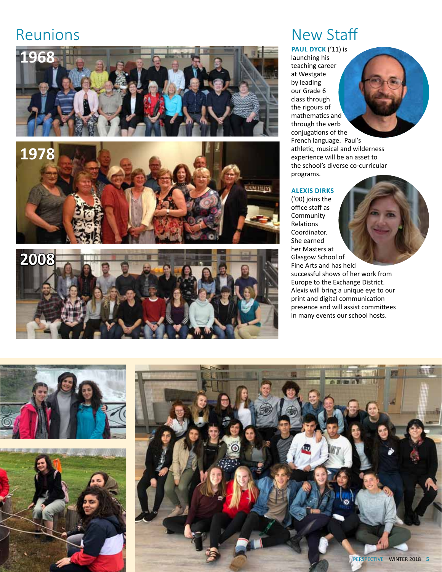## Reunions







# New Staff

**PAUL DYCK** ('11) is launching his teaching career at Westgate by leading our Grade 6 class through the rigours of mathematics and through the verb conjugations of the French language. Paul's athletic, musical and wilderness experience will be an asset to the school's diverse co-curricular programs.

#### **alexis dirks**

('00) joins the office staff as **Community** Relations Coordinator. She earned her Masters at Glasgow School of Fine Arts and has held successful shows of her work from Europe to the Exchange District.

Alexis will bring a unique eye to our print and digital communication presence and will assist committees in many events our school hosts.

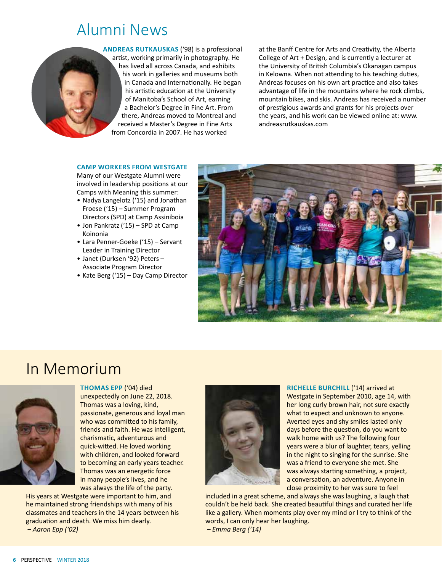### Alumni News

**andreas rutkauskas** ('98) is a professional artist, working primarily in photography. He has lived all across Canada, and exhibits his work in galleries and museums both in Canada and Internationally. He began his artistic education at the University of Manitoba's School of Art, earning a Bachelor's Degree in Fine Art. From there, Andreas moved to Montreal and received a Master's Degree in Fine Arts from Concordia in 2007. He has worked

at the Banff Centre for Arts and Creativity, the Alberta College of Art + Design, and is currently a lecturer at the University of British Columbia's Okanagan campus in Kelowna. When not attending to his teaching duties, Andreas focuses on his own art practice and also takes advantage of life in the mountains where he rock climbs, mountain bikes, and skis. Andreas has received a number of prestigious awards and grants for his projects over the years, and his work can be viewed online at: www. andreasrutkauskas.com

#### **CAMP WORKERS FROM WESTGATE**

Many of our Westgate Alumni were involved in leadership positions at our Camps with Meaning this summer:

- Nadya Langelotz ('15) and Jonathan Froese ('15) – Summer Program Directors (SPD) at Camp Assiniboia
- Jon Pankratz ('15) SPD at Camp Koinonia
- Lara Penner-Goeke ('15) Servant Leader in Training Director
- Janet (Durksen '92) Peters Associate Program Director
- Kate Berg ('15) Day Camp Director



### In Memorium



**thomas epp** ('04) died unexpectedly on June 22, 2018. Thomas was a loving, kind, passionate, generous and loyal man who was committed to his family, friends and faith. He was intelligent, charismatic, adventurous and quick-witted. He loved working with children, and looked forward to becoming an early years teacher. Thomas was an energetic force in many people's lives, and he was always the life of the party.

His years at Westgate were important to him, and he maintained strong friendships with many of his classmates and teachers in the 14 years between his graduation and death. We miss him dearly.  *– Aaron Epp ('02)*



**richelle burchill** ('14) arrived at Westgate in September 2010, age 14, with her long curly brown hair, not sure exactly what to expect and unknown to anyone. Averted eyes and shy smiles lasted only days before the question, do you want to walk home with us? The following four years were a blur of laughter, tears, yelling in the night to singing for the sunrise. She was a friend to everyone she met. She was always starting something, a project, a conversation, an adventure. Anyone in close proximity to her was sure to feel

included in a great scheme, and always she was laughing, a laugh that couldn't be held back. She created beautiful things and curated her life like a gallery. When moments play over my mind or I try to think of the words, I can only hear her laughing.

 *– Emma Berg ('14)*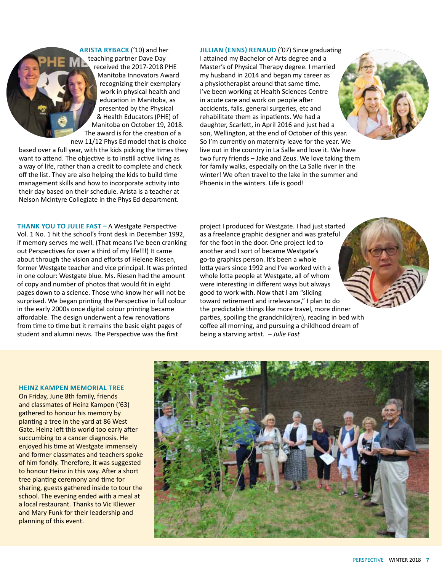**arista ryback** ('10) and her teaching partner Dave Day received the 2017-2018 PHE Manitoba Innovators Award recognizing their exemplary work in physical health and education in Manitoba, as presented by the Physical & Health Educators (PHE) of Manitoba on October 19, 2018. The award is for the creation of a

new 11/12 Phys Ed model that is choice based over a full year, with the kids picking the times they want to attend. The objective is to instill active living as a way of life, rather than a credit to complete and check off the list. They are also helping the kids to build time management skills and how to incorporate activity into their day based on their schedule. Arista is a teacher at Nelson McIntyre Collegiate in the Phys Ed department.

**thank you to julie fast –** A Westgate Perspective Vol. 1 No. 1 hit the school's front desk in December 1992, if memory serves me well. (That means I've been cranking out Perspectives for over a third of my life!!!) It came about through the vision and efforts of Helene Riesen, former Westgate teacher and vice principal. It was printed in one colour: Westgate blue. Ms. Riesen had the amount of copy and number of photos that would fit in eight pages down to a science. Those who know her will not be surprised. We began printing the Perspective in full colour in the early 2000s once digital colour printing became affordable. The design underwent a few renovations from time to time but it remains the basic eight pages of student and alumni news. The Perspective was the first

**jillian (enns) renaud** ('07) Since graduating I attained my Bachelor of Arts degree and a Master's of Physical Therapy degree. I married my husband in 2014 and began my career as a physiotherapist around that same time. I've been working at Health Sciences Centre in acute care and work on people after accidents, falls, general surgeries, etc and rehabilitate them as inpatients. We had a daughter, Scarlett, in April 2016 and just had a son, Wellington, at the end of October of this year. So I'm currently on maternity leave for the year. We live out in the country in La Salle and love it. We have two furry friends – Jake and Zeus. We love taking them for family walks, especially on the La Salle river in the winter! We often travel to the lake in the summer and Phoenix in the winters. Life is good!

project I produced for Westgate. I had just started as a freelance graphic designer and was grateful for the foot in the door. One project led to another and I sort of became Westgate's go-to graphics person. It's been a whole lotta years since 1992 and I've worked with a whole lotta people at Westgate, all of whom were interesting in different ways but always good to work with. Now that I am "sliding toward retirement and irrelevance," I plan to do the predictable things like more travel, more dinner parties, spoiling the grandchild(ren), reading in bed with coffee all morning, and pursuing a childhood dream of being a starving artist. *– Julie Fast*

#### **HEINZ KAMPEN MEMORIAL TREE**

On Friday, June 8th family, friends and classmates of Heinz Kampen ('63) gathered to honour his memory by planting a tree in the yard at 86 West Gate. Heinz left this world too early after succumbing to a cancer diagnosis. He enjoyed his time at Westgate immensely and former classmates and teachers spoke of him fondly. Therefore, it was suggested to honour Heinz in this way. After a short tree planting ceremony and time for sharing, guests gathered inside to tour the school. The evening ended with a meal at a local restaurant. Thanks to Vic Kliewer and Mary Funk for their leadership and planning of this event.